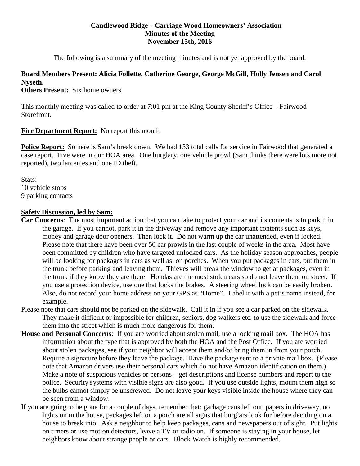## **Candlewood Ridge – Carriage Wood Homeowners' Association Minutes of the Meeting November 15th, 2016**

The following is a summary of the meeting minutes and is not yet approved by the board.

# **Board Members Present: Alicia Follette, Catherine George, George McGill, Holly Jensen and Carol Nyseth.**

**Others Present:** Six home owners

This monthly meeting was called to order at 7:01 pm at the King County Sheriff's Office – Fairwood Storefront.

# **Fire Department Report:** No report this month

**Police Report:** So here is Sam's break down. We had 133 total calls for service in Fairwood that generated a case report. Five were in our HOA area. One burglary, one vehicle prowl (Sam thinks there were lots more not reported), two larcenies and one ID theft.

Stats: 10 vehicle stops 9 parking contacts

# **Safety Discussion, led by Sam:**

- **Car Concerns**: The most important action that you can take to protect your car and its contents is to park it in the garage. If you cannot, park it in the driveway and remove any important contents such as keys, money and garage door openers. Then lock it. Do not warm up the car unattended, even if locked. Please note that there have been over 50 car prowls in the last couple of weeks in the area. Most have been committed by children who have targeted unlocked cars. As the holiday season approaches, people will be looking for packages in cars as well as on porches. When you put packages in cars, put them in the trunk before parking and leaving them. Thieves will break the window to get at packages, even in the trunk if they know they are there. Hondas are the most stolen cars so do not leave them on street. If you use a protection device, use one that locks the brakes. A steering wheel lock can be easily broken. Also, do not record your home address on your GPS as "Home". Label it with a pet's name instead, for example.
- Please note that cars should not be parked on the sidewalk. Call it in if you see a car parked on the sidewalk. They make it difficult or impossible for children, seniors, dog walkers etc. to use the sidewalk and force them into the street which is much more dangerous for them.
- **House and Personal Concerns**: If you are worried about stolen mail, use a locking mail box. The HOA has information about the type that is approved by both the HOA and the Post Office. If you are worried about stolen packages, see if your neighbor will accept them and/or bring them in from your porch. Require a signature before they leave the package. Have the package sent to a private mail box. (Please note that Amazon drivers use their personal cars which do not have Amazon identification on them.) Make a note of suspicious vehicles or persons – get descriptions and license numbers and report to the police. Security systems with visible signs are also good. If you use outside lights, mount them high so the bulbs cannot simply be unscrewed. Do not leave your keys visible inside the house where they can be seen from a window.
- If you are going to be gone for a couple of days, remember that: garbage cans left out, papers in driveway, no lights on in the house, packages left on a porch are all signs that burglars look for before deciding on a house to break into. Ask a neighbor to help keep packages, cans and newspapers out of sight. Put lights on timers or use motion detectors, leave a TV or radio on. If someone is staying in your house, let neighbors know about strange people or cars. Block Watch is highly recommended.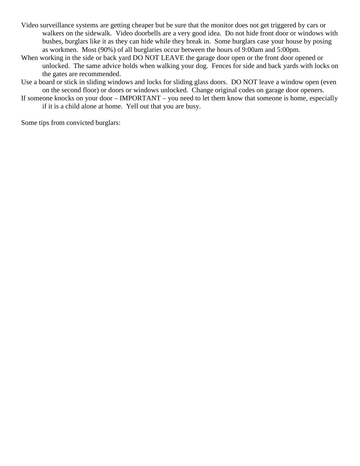- Video surveillance systems are getting cheaper but be sure that the monitor does not get triggered by cars or walkers on the sidewalk. Video doorbells are a very good idea. Do not hide front door or windows with bushes, burglars like it as they can hide while they break in. Some burglars case your house by posing as workmen. Most (90%) of all burglaries occur between the hours of 9:00am and 5:00pm.
- When working in the side or back yard DO NOT LEAVE the garage door open or the front door opened or unlocked. The same advice holds when walking your dog. Fences for side and back yards with locks on the gates are recommended.
- Use a board or stick in sliding windows and locks for sliding glass doors. DO NOT leave a window open (even on the second floor) or doors or windows unlocked. Change original codes on garage door openers.
- If someone knocks on your door IMPORTANT you need to let them know that someone is home, especially if it is a child alone at home. Yell out that you are busy.

Some tips from convicted burglars: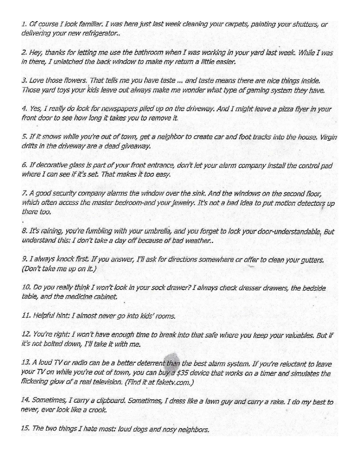1. Of course I look familiar. I was here just last week cleaning your carpets, painting your shutters, or delivering your new refrigerator..

2. Hey, thanks for letting me use the bathroom when I was working in your yard last week. While I was in there, I unlatched the back window to make my return a little easier.

3. Love those flowers. That tells me you have taste ... and taste means there are nice things inside. Those yard toys your kids leave out always make me wonder what type of gaming system they have.

4. Yes, I really do look for newspapers piled up on the driveway. And I might leave a pizza flyer in your front door to see how long it takes you to remove it.

5. If it snows while you're out of town, get a neighbor to create car and foot tracks into the house. Virgin drifts in the driveway are a dead giveaway.

6. If decorative glass is part of your front entrance, don't let your alarm company install the control pad where I can see if it's set. That makes it too easy.

7. A good security company alarms the window over the sink. And the windows on the second floor, which often access the master bedroom-and your jewelry. It's not a bad idea to put motion detectors up there too.

8. It's raining, you're fumbling with your umbrella, and you forget to lock your door-understandable, But understand this: I don't take a day off because of bad weather..

9. I always knock first. If you answer, I'll ask for directions somewhere or offer to clean your gutters. (Don't take me up on it.)

10. Do you really think I won't look in your sock drawer? I always check dresser drawers, the bedside table, and the medicine cabinet.

11. Helpful hint: I almost never go into kids' rooms.

12. You're right: I won't have enough time to break into that safe where you keep your valuables. But if it's not bolted down, I'll take it with me.

13. A loud TV or radio can be a better deterrent than the best alarm system. If you're reluctant to leave your TV on while you're out of town, you can buy a \$35 device that works on a timer and simulates the flickering glow of a real television. (Find it at fakety.com.)

14. Sometimes, I carry a clipboard. Sometimes, I dress like a lawn guy and carry a rake. I do my best to never, ever look like a crook.

15. The two things I hate most: loud dogs and nosy neighbors.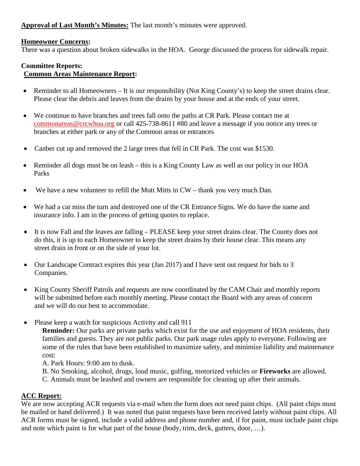**Approval of Last Month's Minutes:** The last month's minutes were approved.

## **Homeowner Concerns:**

There was a question about broken sidewalks in the HOA. George discussed the process for sidewalk repair.

#### **Committee Reports: Common Areas Maintenance Report:**

- Reminder to all Homeowners It is our responsibility (Not King County's) to keep the street drains clear. Please clear the debris and leaves from the drains by your house and at the ends of your street.
- We continue to have branches and trees fall onto the paths at CR Park. Please contact me at [commonareas@crcwhoa.org](mailto:commonareas@crcwhoa.org) or call 425-738-8611 #80 and leave a message if you notice any trees or branches at either park or any of the Common areas or entrances
- Canber cut up and removed the 2 large trees that fell in CR Park. The cost was \$1530.
- Reminder all dogs must be on leash this is a King County Law as well as our policy in our HOA Parks
- We have a new volunteer to refill the Mutt Mitts in CW thank you very much Dan.
- We had a car miss the turn and destroyed one of the CR Entrance Signs. We do have the name and insurance info. I am in the process of getting quotes to replace.
- It is now Fall and the leaves are falling PLEASE keep your street drains clear. The County does not do this, it is up to each Homeowner to keep the street drains by their house clear. This means any street drain in front or on the side of your lot.
- Our Landscape Contract expires this year (Jan 2017) and I have sent out request for bids to 3 Companies.
- King County Sheriff Patrols and requests are now coordinated by the CAM Chair and monthly reports will be submitted before each monthly meeting. Please contact the Board with any areas of concern and we will do our best to accommodate.
- Please keep a watch for suspicious Activity and call 911

**Reminder:** Our parks are private parks which exist for the use and enjoyment of HOA residents, their families and guests. They are not public parks. Our park usage rules apply to everyone. Following are some of the rules that have been established to maximize safety, and minimize liability and maintenance cost:

A. Park Hours: 9:00 am to dusk.

- B. No Smoking, alcohol, drugs, loud music, golfing, motorized vehicles or **Fireworks** are allowed.
- C. Animals must be leashed and owners are responsible for cleaning up after their animals.

# **ACC Report:**

We are now accepting ACR requests via e-mail when the form does not need paint chips. (All paint chips must be mailed or hand delivered.) It was noted that paint requests have been received lately without paint chips. All ACR forms must be signed, include a valid address and phone number and, if for paint, must include paint chips and note which paint is for what part of the house (body, trim, deck, gutters, door, …).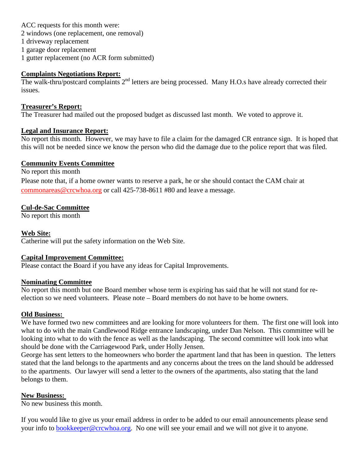ACC requests for this month were: 2 windows (one replacement, one removal) 1 driveway replacement 1 garage door replacement 1 gutter replacement (no ACR form submitted)

## **Complaints Negotiations Report:**

The walk-thru/postcard complaints 2<sup>nd</sup> letters are being processed. Many H.O.s have already corrected their issues.

## **Treasurer's Report:**

The Treasurer had mailed out the proposed budget as discussed last month. We voted to approve it.

## **Legal and Insurance Report:**

No report this month. However, we may have to file a claim for the damaged CR entrance sign. It is hoped that this will not be needed since we know the person who did the damage due to the police report that was filed.

## **Community Events Committee**

No report this month Please note that, if a home owner wants to reserve a park, he or she should contact the CAM chair at [commonareas@crcwhoa.org](mailto:commonareas@crcwhoa.org) or call 425-738-8611 #80 and leave a message.

# **Cul-de-Sac Committee**

No report this month

## **Web Site:**

Catherine will put the safety information on the Web Site.

## **Capital Improvement Committee:**

Please contact the Board if you have any ideas for Capital Improvements.

## **Nominating Committee**

No report this month but one Board member whose term is expiring has said that he will not stand for reelection so we need volunteers. Please note – Board members do not have to be home owners.

## **Old Business:**

We have formed two new committees and are looking for more volunteers for them. The first one will look into what to do with the main Candlewood Ridge entrance landscaping, under Dan Nelson. This committee will be looking into what to do with the fence as well as the landscaping. The second committee will look into what should be done with the Carriagewood Park, under Holly Jensen.

George has sent letters to the homeowners who border the apartment land that has been in question. The letters stated that the land belongs to the apartments and any concerns about the trees on the land should be addressed to the apartments. Our lawyer will send a letter to the owners of the apartments, also stating that the land belongs to them.

## **New Business:**

No new business this month.

If you would like to give us your email address in order to be added to our email announcements please send your info to [bookkeeper@crcwhoa.org.](mailto:bookkeeper@crcwhoa.org) No one will see your email and we will not give it to anyone.